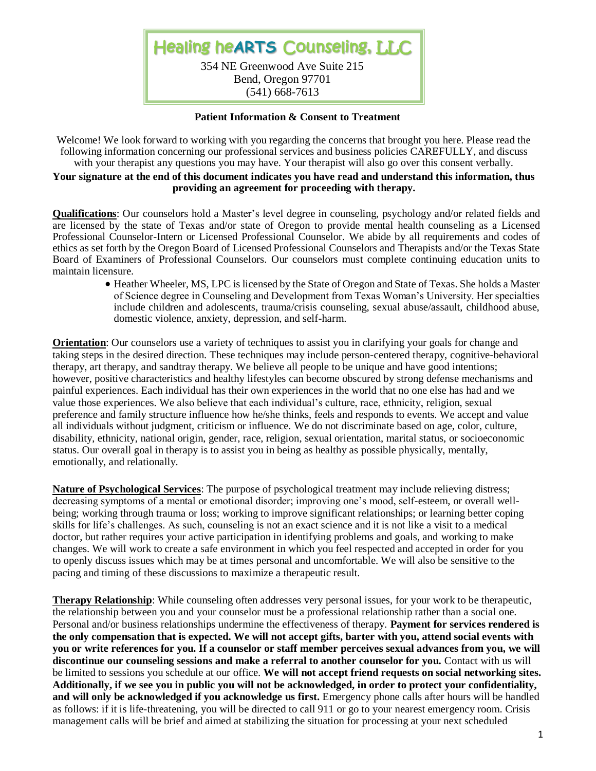

#### **Patient Information & Consent to Treatment**

Welcome! We look forward to working with you regarding the concerns that brought you here. Please read the following information concerning our professional services and business policies CAREFULLY, and discuss with your therapist any questions you may have. Your therapist will also go over this consent verbally.

## **Your signature at the end of this document indicates you have read and understand this information, thus providing an agreement for proceeding with therapy.**

**Qualifications**: Our counselors hold a Master's level degree in counseling, psychology and/or related fields and are licensed by the state of Texas and/or state of Oregon to provide mental health counseling as a Licensed Professional Counselor-Intern or Licensed Professional Counselor. We abide by all requirements and codes of ethics as set forth by the Oregon Board of Licensed Professional Counselors and Therapists and/or the Texas State Board of Examiners of Professional Counselors. Our counselors must complete continuing education units to maintain licensure.

• Heather Wheeler, MS, LPC is licensed by the State of Oregon and State of Texas. She holds a Master of Science degree in Counseling and Development from Texas Woman's University. Her specialties include children and adolescents, trauma/crisis counseling, sexual abuse/assault, childhood abuse, domestic violence, anxiety, depression, and self-harm.

**Orientation**: Our counselors use a variety of techniques to assist you in clarifying your goals for change and taking steps in the desired direction. These techniques may include person-centered therapy, cognitive-behavioral therapy, art therapy, and sandtray therapy. We believe all people to be unique and have good intentions; however, positive characteristics and healthy lifestyles can become obscured by strong defense mechanisms and painful experiences. Each individual has their own experiences in the world that no one else has had and we value those experiences. We also believe that each individual's culture, race, ethnicity, religion, sexual preference and family structure influence how he/she thinks, feels and responds to events. We accept and value all individuals without judgment, criticism or influence. We do not discriminate based on age, color, culture, disability, ethnicity, national origin, gender, race, religion, sexual orientation, marital status, or socioeconomic status. Our overall goal in therapy is to assist you in being as healthy as possible physically, mentally, emotionally, and relationally.

**Nature of Psychological Services**: The purpose of psychological treatment may include relieving distress; decreasing symptoms of a mental or emotional disorder; improving one's mood, self-esteem, or overall wellbeing; working through trauma or loss; working to improve significant relationships; or learning better coping skills for life's challenges. As such, counseling is not an exact science and it is not like a visit to a medical doctor, but rather requires your active participation in identifying problems and goals, and working to make changes. We will work to create a safe environment in which you feel respected and accepted in order for you to openly discuss issues which may be at times personal and uncomfortable. We will also be sensitive to the pacing and timing of these discussions to maximize a therapeutic result.

**Therapy Relationship**: While counseling often addresses very personal issues, for your work to be therapeutic, the relationship between you and your counselor must be a professional relationship rather than a social one. Personal and/or business relationships undermine the effectiveness of therapy. **Payment for services rendered is the only compensation that is expected. We will not accept gifts, barter with you, attend social events with you or write references for you. If a counselor or staff member perceives sexual advances from you, we will discontinue our counseling sessions and make a referral to another counselor for you.** Contact with us will be limited to sessions you schedule at our office. **We will not accept friend requests on social networking sites. Additionally, if we see you in public you will not be acknowledged, in order to protect your confidentiality, and will only be acknowledged if you acknowledge us first.** Emergency phone calls after hours will be handled as follows: if it is life-threatening, you will be directed to call 911 or go to your nearest emergency room. Crisis management calls will be brief and aimed at stabilizing the situation for processing at your next scheduled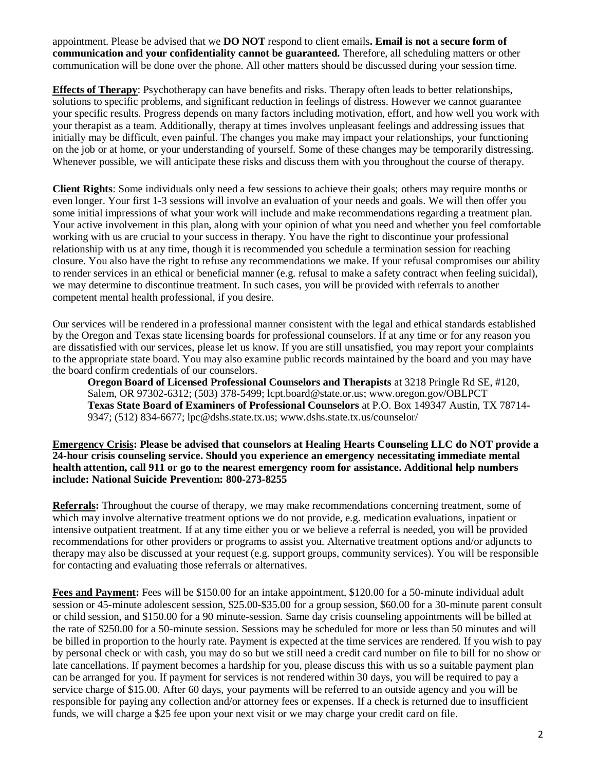appointment. Please be advised that we **DO NOT** respond to client emails**. Email is not a secure form of communication and your confidentiality cannot be guaranteed.** Therefore, all scheduling matters or other communication will be done over the phone. All other matters should be discussed during your session time.

**Effects of Therapy**: Psychotherapy can have benefits and risks. Therapy often leads to better relationships, solutions to specific problems, and significant reduction in feelings of distress. However we cannot guarantee your specific results. Progress depends on many factors including motivation, effort, and how well you work with your therapist as a team. Additionally, therapy at times involves unpleasant feelings and addressing issues that initially may be difficult, even painful. The changes you make may impact your relationships, your functioning on the job or at home, or your understanding of yourself. Some of these changes may be temporarily distressing. Whenever possible, we will anticipate these risks and discuss them with you throughout the course of therapy.

**Client Rights**: Some individuals only need a few sessions to achieve their goals; others may require months or even longer. Your first 1-3 sessions will involve an evaluation of your needs and goals. We will then offer you some initial impressions of what your work will include and make recommendations regarding a treatment plan. Your active involvement in this plan, along with your opinion of what you need and whether you feel comfortable working with us are crucial to your success in therapy. You have the right to discontinue your professional relationship with us at any time, though it is recommended you schedule a termination session for reaching closure. You also have the right to refuse any recommendations we make. If your refusal compromises our ability to render services in an ethical or beneficial manner (e.g. refusal to make a safety contract when feeling suicidal), we may determine to discontinue treatment. In such cases, you will be provided with referrals to another competent mental health professional, if you desire.

Our services will be rendered in a professional manner consistent with the legal and ethical standards established by the Oregon and Texas state licensing boards for professional counselors. If at any time or for any reason you are dissatisfied with our services, please let us know. If you are still unsatisfied, you may report your complaints to the appropriate state board. You may also examine public records maintained by the board and you may have the board confirm credentials of our counselors.

**Oregon Board of Licensed Professional Counselors and Therapists** at 3218 Pringle Rd SE, #120, Salem, OR 97302-6312; (503) 378-5499; lcpt.board@state.or.us; www.oregon.gov/OBLPCT **Texas State Board of Examiners of Professional Counselors** at P.O. Box 149347 Austin, TX 78714- 9347; (512) 834-6677; lpc@dshs.state.tx.us; www.dshs.state.tx.us/counselor/

**Emergency Crisis: Please be advised that counselors at Healing Hearts Counseling LLC do NOT provide a 24-hour crisis counseling service. Should you experience an emergency necessitating immediate mental health attention, call 911 or go to the nearest emergency room for assistance. Additional help numbers include: National Suicide Prevention: 800-273-8255**

**Referrals:** Throughout the course of therapy, we may make recommendations concerning treatment, some of which may involve alternative treatment options we do not provide, e.g. medication evaluations, inpatient or intensive outpatient treatment. If at any time either you or we believe a referral is needed, you will be provided recommendations for other providers or programs to assist you. Alternative treatment options and/or adjuncts to therapy may also be discussed at your request (e.g. support groups, community services). You will be responsible for contacting and evaluating those referrals or alternatives.

**Fees and Payment:** Fees will be \$150.00 for an intake appointment, \$120.00 for a 50-minute individual adult session or 45-minute adolescent session, \$25.00-\$35.00 for a group session, \$60.00 for a 30-minute parent consult or child session, and \$150.00 for a 90 minute-session. Same day crisis counseling appointments will be billed at the rate of \$250.00 for a 50-minute session. Sessions may be scheduled for more or less than 50 minutes and will be billed in proportion to the hourly rate. Payment is expected at the time services are rendered. If you wish to pay by personal check or with cash, you may do so but we still need a credit card number on file to bill for no show or late cancellations. If payment becomes a hardship for you, please discuss this with us so a suitable payment plan can be arranged for you. If payment for services is not rendered within 30 days, you will be required to pay a service charge of \$15.00. After 60 days, your payments will be referred to an outside agency and you will be responsible for paying any collection and/or attorney fees or expenses. If a check is returned due to insufficient funds, we will charge a \$25 fee upon your next visit or we may charge your credit card on file.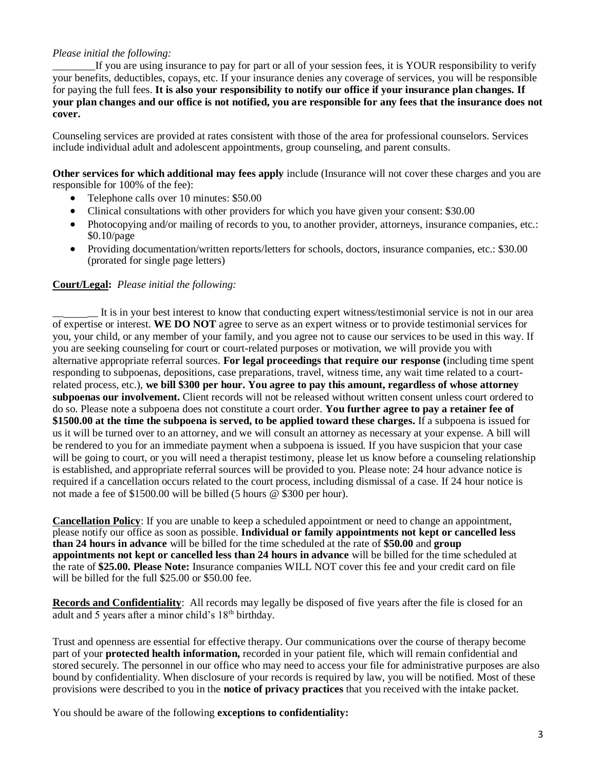# *Please initial the following:*

If you are using insurance to pay for part or all of your session fees, it is YOUR responsibility to verify your benefits, deductibles, copays, etc. If your insurance denies any coverage of services, you will be responsible for paying the full fees. **It is also your responsibility to notify our office if your insurance plan changes. If your plan changes and our office is not notified, you are responsible for any fees that the insurance does not cover.**

Counseling services are provided at rates consistent with those of the area for professional counselors. Services include individual adult and adolescent appointments, group counseling, and parent consults.

**Other services for which additional may fees apply** include (Insurance will not cover these charges and you are responsible for 100% of the fee):

- Telephone calls over 10 minutes: \$50.00
- Clinical consultations with other providers for which you have given your consent: \$30.00
- Photocopying and/or mailing of records to you, to another provider, attorneys, insurance companies, etc.: \$0.10/page
- Providing documentation/written reports/letters for schools, doctors, insurance companies, etc.: \$30.00 (prorated for single page letters)

## **Court/Legal:** *Please initial the following:*

It is in your best interest to know that conducting expert witness/testimonial service is not in our area of expertise or interest. **WE DO NOT** agree to serve as an expert witness or to provide testimonial services for you, your child, or any member of your family, and you agree not to cause our services to be used in this way. If you are seeking counseling for court or court-related purposes or motivation, we will provide you with alternative appropriate referral sources. **For legal proceedings that require our response (**including time spent responding to subpoenas, depositions, case preparations, travel, witness time, any wait time related to a courtrelated process, etc.), **we bill \$300 per hour. You agree to pay this amount, regardless of whose attorney subpoenas our involvement.** Client records will not be released without written consent unless court ordered to do so. Please note a subpoena does not constitute a court order. **You further agree to pay a retainer fee of \$1500.00 at the time the subpoena is served, to be applied toward these charges.** If a subpoena is issued for us it will be turned over to an attorney, and we will consult an attorney as necessary at your expense. A bill will be rendered to you for an immediate payment when a subpoena is issued. If you have suspicion that your case will be going to court, or you will need a therapist testimony, please let us know before a counseling relationship is established, and appropriate referral sources will be provided to you. Please note: 24 hour advance notice is required if a cancellation occurs related to the court process, including dismissal of a case. If 24 hour notice is not made a fee of \$1500.00 will be billed (5 hours @ \$300 per hour).

**Cancellation Policy**: If you are unable to keep a scheduled appointment or need to change an appointment, please notify our office as soon as possible. **Individual or family appointments not kept or cancelled less than 24 hours in advance** will be billed for the time scheduled at the rate of **\$50.00** and **group appointments not kept or cancelled less than 24 hours in advance** will be billed for the time scheduled at the rate of **\$25.00. Please Note:** Insurance companies WILL NOT cover this fee and your credit card on file will be billed for the full \$25.00 or \$50.00 fee.

**Records and Confidentiality**: All records may legally be disposed of five years after the file is closed for an adult and 5 years after a minor child's 18th birthday.

Trust and openness are essential for effective therapy. Our communications over the course of therapy become part of your **protected health information,** recorded in your patient file, which will remain confidential and stored securely. The personnel in our office who may need to access your file for administrative purposes are also bound by confidentiality. When disclosure of your records is required by law, you will be notified. Most of these provisions were described to you in the **notice of privacy practices** that you received with the intake packet.

You should be aware of the following **exceptions to confidentiality:**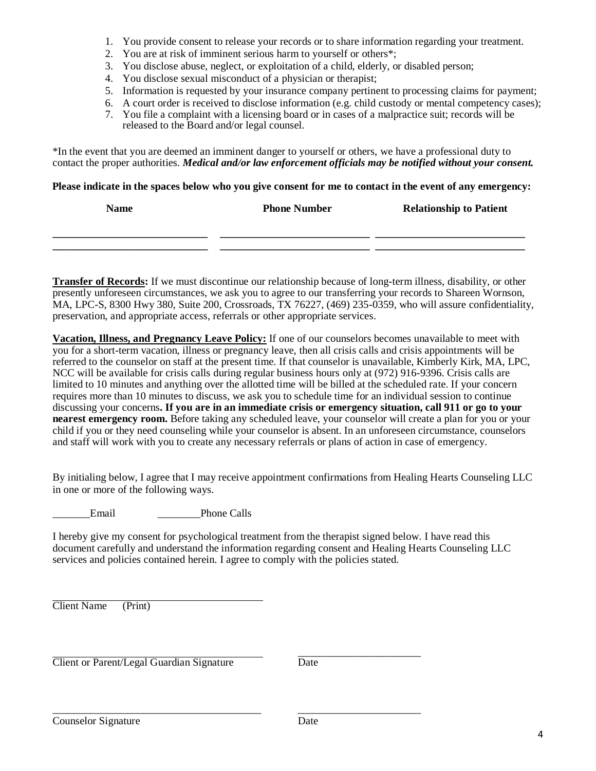- 1. You provide consent to release your records or to share information regarding your treatment.
- 2. You are at risk of imminent serious harm to yourself or others\*;
- 3. You disclose abuse, neglect, or exploitation of a child, elderly, or disabled person;
- 4. You disclose sexual misconduct of a physician or therapist;
- 5. Information is requested by your insurance company pertinent to processing claims for payment;
- 6. A court order is received to disclose information (e.g. child custody or mental competency cases);
- 7. You file a complaint with a licensing board or in cases of a malpractice suit; records will be released to the Board and/or legal counsel.

\*In the event that you are deemed an imminent danger to yourself or others, we have a professional duty to contact the proper authorities. *Medical and/or law enforcement officials may be notified without your consent.*

#### **Please indicate in the spaces below who you give consent for me to contact in the event of any emergency:**

| <b>Name</b> | <b>Phone Number</b> | <b>Relationship to Patient</b> |  |
|-------------|---------------------|--------------------------------|--|
|             |                     |                                |  |
|             |                     |                                |  |
|             |                     |                                |  |

**Transfer of Records:** If we must discontinue our relationship because of long-term illness, disability, or other presently unforeseen circumstances, we ask you to agree to our transferring your records to Shareen Wornson, MA, LPC-S, 8300 Hwy 380, Suite 200, Crossroads, TX 76227, (469) 235-0359, who will assure confidentiality, preservation, and appropriate access, referrals or other appropriate services.

**Vacation, Illness, and Pregnancy Leave Policy:** If one of our counselors becomes unavailable to meet with you for a short-term vacation, illness or pregnancy leave, then all crisis calls and crisis appointments will be referred to the counselor on staff at the present time. If that counselor is unavailable, Kimberly Kirk, MA, LPC, NCC will be available for crisis calls during regular business hours only at (972) 916-9396. Crisis calls are limited to 10 minutes and anything over the allotted time will be billed at the scheduled rate. If your concern requires more than 10 minutes to discuss, we ask you to schedule time for an individual session to continue discussing your concerns**. If you are in an immediate crisis or emergency situation, call 911 or go to your nearest emergency room.** Before taking any scheduled leave, your counselor will create a plan for you or your child if you or they need counseling while your counselor is absent. In an unforeseen circumstance, counselors and staff will work with you to create any necessary referrals or plans of action in case of emergency.

By initialing below, I agree that I may receive appointment confirmations from Healing Hearts Counseling LLC in one or more of the following ways.

Email Phone Calls

I hereby give my consent for psychological treatment from the therapist signed below. I have read this document carefully and understand the information regarding consent and Healing Hearts Counseling LLC services and policies contained herein. I agree to comply with the policies stated.

Client Name (Print)

**Client or Parent/Legal Guardian Signature** Date

\_\_\_\_\_\_\_\_\_\_\_\_\_\_\_\_\_\_\_\_\_\_\_

\_\_\_\_\_\_\_\_\_\_\_\_\_\_\_\_\_\_\_\_\_\_\_\_\_\_\_\_\_\_\_\_\_\_\_\_\_\_\_ \_\_\_\_\_\_\_\_\_\_\_\_\_\_\_\_\_\_\_\_\_\_\_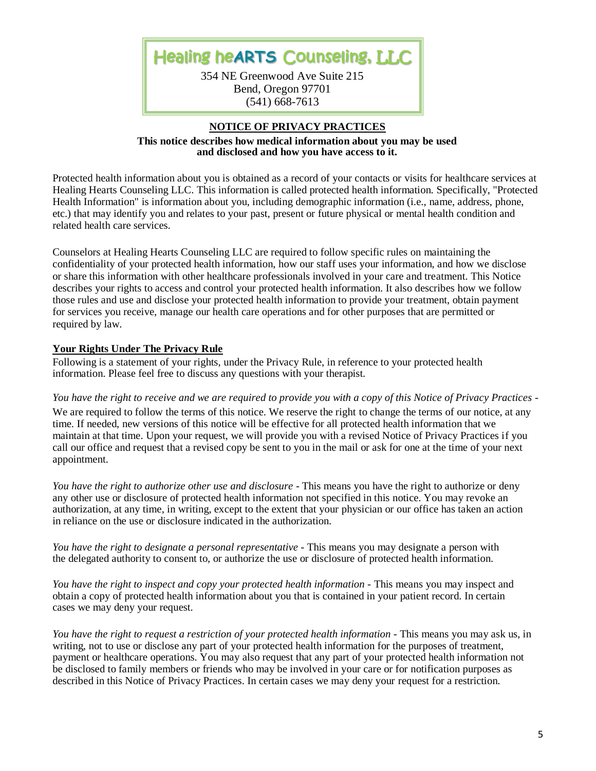Healing he**ARTS** Counseling, LLC

354 NE Greenwood Ave Suite 215 Bend, Oregon 97701 (541) 668-7613

#### **NOTICE OF PRIVACY PRACTICES**

**This notice describes how medical information about you may be used and disclosed and how you have access to it.**

Protected health information about you is obtained as a record of your contacts or visits for healthcare services at Healing Hearts Counseling LLC. This information is called protected health information. Specifically, "Protected Health Information" is information about you, including demographic information (i.e., name, address, phone, etc.) that may identify you and relates to your past, present or future physical or mental health condition and related health care services.

Counselors at Healing Hearts Counseling LLC are required to follow specific rules on maintaining the confidentiality of your protected health information, how our staff uses your information, and how we disclose or share this information with other healthcare professionals involved in your care and treatment. This Notice describes your rights to access and control your protected health information. It also describes how we follow those rules and use and disclose your protected health information to provide your treatment, obtain payment for services you receive, manage our health care operations and for other purposes that are permitted or required by law.

## **Your Rights Under The Privacy Rule**

Following is a statement of your rights, under the Privacy Rule, in reference to your protected health information. Please feel free to discuss any questions with your therapist.

*You have the right to receive and we are required to provide you with a copy of this Notice of Privacy Practices -*

We are required to follow the terms of this notice. We reserve the right to change the terms of our notice, at any time. If needed, new versions of this notice will be effective for all protected health information that we maintain at that time. Upon your request, we will provide you with a revised Notice of Privacy Practices if you call our office and request that a revised copy be sent to you in the mail or ask for one at the time of your next appointment.

*You have the right to authorize other use and disclosure* - This means you have the right to authorize or deny any other use or disclosure of protected health information not specified in this notice. You may revoke an authorization, at any time, in writing, except to the extent that your physician or our office has taken an action in reliance on the use or disclosure indicated in the authorization.

*You have the right to designate a personal representative -* This means you may designate a person with the delegated authority to consent to, or authorize the use or disclosure of protected health information.

*You have the right to inspect and copy your protected health information -* This means you may inspect and obtain a copy of protected health information about you that is contained in your patient record. In certain cases we may deny your request.

*You have the right to request a restriction of your protected health information -* This means you may ask us, in writing, not to use or disclose any part of your protected health information for the purposes of treatment, payment or healthcare operations. You may also request that any part of your protected health information not be disclosed to family members or friends who may be involved in your care or for notification purposes as described in this Notice of Privacy Practices. In certain cases we may deny your request for a restriction.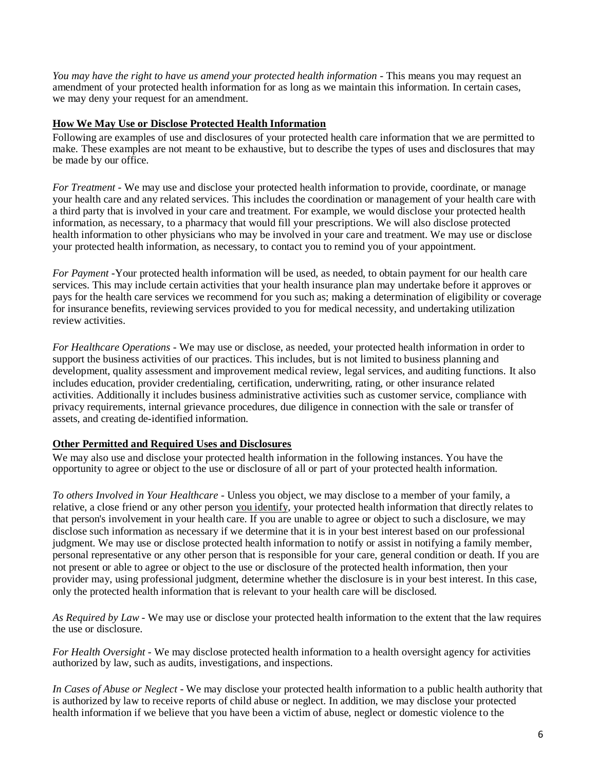*You may have the right to have us amend your protected health information -* This means you may request an amendment of your protected health information for as long as we maintain this information. In certain cases, we may deny your request for an amendment.

## **How We May Use or Disclose Protected Health Information**

Following are examples of use and disclosures of your protected health care information that we are permitted to make. These examples are not meant to be exhaustive, but to describe the types of uses and disclosures that may be made by our office.

*For Treatment* - We may use and disclose your protected health information to provide, coordinate, or manage your health care and any related services. This includes the coordination or management of your health care with a third party that is involved in your care and treatment. For example, we would disclose your protected health information, as necessary, to a pharmacy that would fill your prescriptions. We will also disclose protected health information to other physicians who may be involved in your care and treatment. We may use or disclose your protected health information, as necessary, to contact you to remind you of your appointment.

*For Payment* -Your protected health information will be used, as needed, to obtain payment for our health care services. This may include certain activities that your health insurance plan may undertake before it approves or pays for the health care services we recommend for you such as; making a determination of eligibility or coverage for insurance benefits, reviewing services provided to you for medical necessity, and undertaking utilization review activities.

*For Healthcare Operations* - We may use or disclose, as needed, your protected health information in order to support the business activities of our practices. This includes, but is not limited to business planning and development, quality assessment and improvement medical review, legal services, and auditing functions. It also includes education, provider credentialing, certification, underwriting, rating, or other insurance related activities. Additionally it includes business administrative activities such as customer service, compliance with privacy requirements, internal grievance procedures, due diligence in connection with the sale or transfer of assets, and creating de-identified information.

## **Other Permitted and Required Uses and Disclosures**

We may also use and disclose your protected health information in the following instances. You have the opportunity to agree or object to the use or disclosure of all or part of your protected health information.

*To others Involved in Your Healthcare* - Unless you object, we may disclose to a member of your family, a relative, a close friend or any other person you identify, your protected health information that directly relates to that person's involvement in your health care. If you are unable to agree or object to such a disclosure, we may disclose such information as necessary if we determine that it is in your best interest based on our professional judgment. We may use or disclose protected health information to notify or assist in notifying a family member, personal representative or any other person that is responsible for your care, general condition or death. If you are not present or able to agree or object to the use or disclosure of the protected health information, then your provider may, using professional judgment, determine whether the disclosure is in your best interest. In this case, only the protected health information that is relevant to your health care will be disclosed.

*As Required by Law* - We may use or disclose your protected health information to the extent that the law requires the use or disclosure.

*For Health Oversight* - We may disclose protected health information to a health oversight agency for activities authorized by law, such as audits, investigations, and inspections.

*In Cases of Abuse or Neglect* - We may disclose your protected health information to a public health authority that is authorized by law to receive reports of child abuse or neglect. In addition, we may disclose your protected health information if we believe that you have been a victim of abuse, neglect or domestic violence to the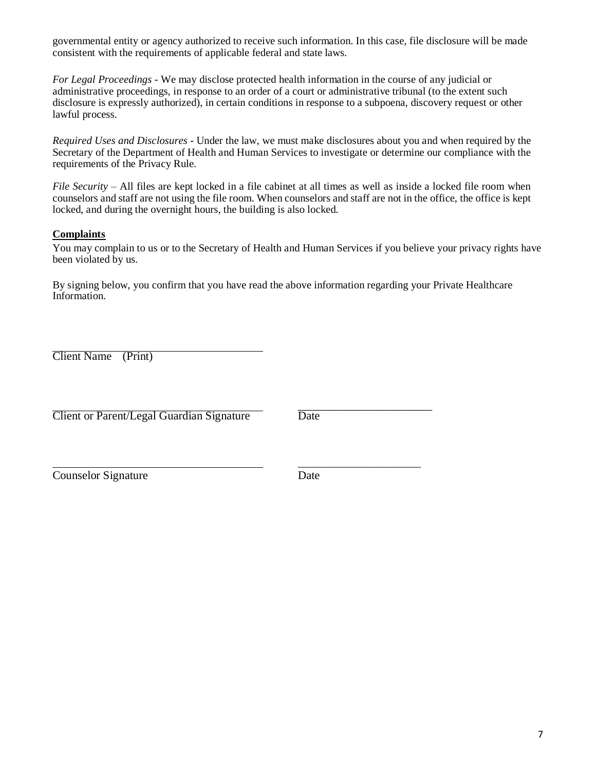governmental entity or agency authorized to receive such information. In this case, file disclosure will be made consistent with the requirements of applicable federal and state laws.

*For Legal Proceedings* - We may disclose protected health information in the course of any judicial or administrative proceedings, in response to an order of a court or administrative tribunal (to the extent such disclosure is expressly authorized), in certain conditions in response to a subpoena, discovery request or other lawful process.

*Required Uses and Disclosures* - Under the law, we must make disclosures about you and when required by the Secretary of the Department of Health and Human Services to investigate or determine our compliance with the requirements of the Privacy Rule.

*File Security –* All files are kept locked in a file cabinet at all times as well as inside a locked file room when counselors and staff are not using the file room. When counselors and staff are not in the office, the office is kept locked, and during the overnight hours, the building is also locked.

## **Complaints**

You may complain to us or to the Secretary of Health and Human Services if you believe your privacy rights have been violated by us.

By signing below, you confirm that you have read the above information regarding your Private Healthcare Information.

Client Name (Print)

Client or Parent/Legal Guardian Signature Date

\_\_\_\_\_\_\_\_\_\_\_\_\_\_\_\_\_\_\_\_\_\_\_

\_\_\_\_\_\_\_\_\_\_\_\_\_\_\_\_\_\_\_\_\_\_\_

Counselor Signature Date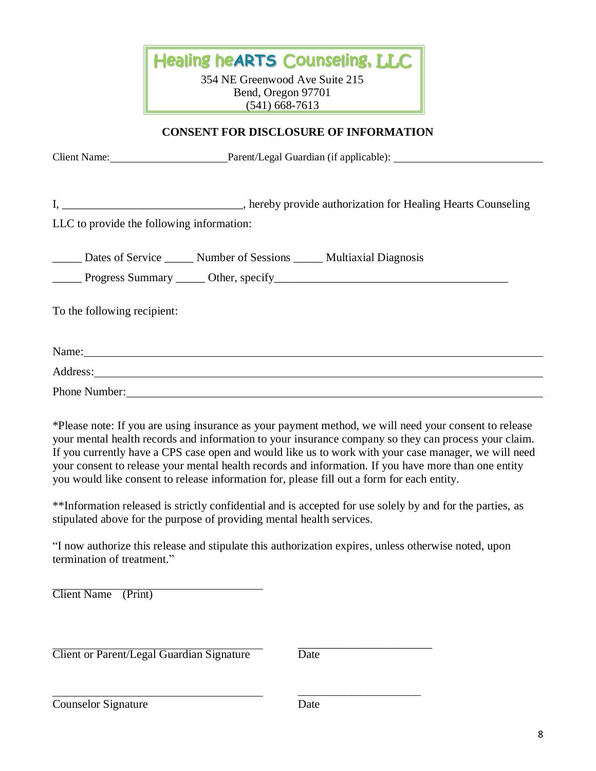|                               |                                                                                                                                                                                                                                     | <b>Healing heARTS Counseling, LLC</b>                                    |                                                                                                                                                                                                                                                                                                                                                                                                                               |
|-------------------------------|-------------------------------------------------------------------------------------------------------------------------------------------------------------------------------------------------------------------------------------|--------------------------------------------------------------------------|-------------------------------------------------------------------------------------------------------------------------------------------------------------------------------------------------------------------------------------------------------------------------------------------------------------------------------------------------------------------------------------------------------------------------------|
|                               |                                                                                                                                                                                                                                     | 354 NE Greenwood Ave Suite 215<br>Bend, Oregon 97701<br>$(541)$ 668-7613 |                                                                                                                                                                                                                                                                                                                                                                                                                               |
|                               |                                                                                                                                                                                                                                     | <b>CONSENT FOR DISCLOSURE OF INFORMATION</b>                             |                                                                                                                                                                                                                                                                                                                                                                                                                               |
|                               | Client Name: Parent/Legal Guardian (if applicable):                                                                                                                                                                                 |                                                                          |                                                                                                                                                                                                                                                                                                                                                                                                                               |
|                               |                                                                                                                                                                                                                                     |                                                                          |                                                                                                                                                                                                                                                                                                                                                                                                                               |
|                               | LLC to provide the following information:                                                                                                                                                                                           |                                                                          |                                                                                                                                                                                                                                                                                                                                                                                                                               |
|                               | Dates of Service ______ Number of Sessions _____ Multiaxial Diagnosis                                                                                                                                                               |                                                                          |                                                                                                                                                                                                                                                                                                                                                                                                                               |
| To the following recipient:   |                                                                                                                                                                                                                                     |                                                                          |                                                                                                                                                                                                                                                                                                                                                                                                                               |
|                               |                                                                                                                                                                                                                                     |                                                                          |                                                                                                                                                                                                                                                                                                                                                                                                                               |
|                               | Address: <u>Address</u> and the contract of the contract of the contract of the contract of the contract of the contract of the contract of the contract of the contract of the contract of the contract of the contract of the con |                                                                          |                                                                                                                                                                                                                                                                                                                                                                                                                               |
|                               |                                                                                                                                                                                                                                     |                                                                          |                                                                                                                                                                                                                                                                                                                                                                                                                               |
|                               | you would like consent to release information for, please fill out a form for each entity.                                                                                                                                          |                                                                          | *Please note: If you are using insurance as your payment method, we will need your consent to release<br>your mental health records and information to your insurance company so they can process your claim.<br>If you currently have a CPS case open and would like us to work with your case manager, we will need<br>your consent to release your mental health records and information. If you have more than one entity |
|                               | stipulated above for the purpose of providing mental health services.                                                                                                                                                               |                                                                          | **Information released is strictly confidential and is accepted for use solely by and for the parties, as                                                                                                                                                                                                                                                                                                                     |
| termination of treatment."    |                                                                                                                                                                                                                                     |                                                                          | "I now authorize this release and stipulate this authorization expires, unless otherwise noted, upon                                                                                                                                                                                                                                                                                                                          |
| <b>Client Name</b><br>(Print) |                                                                                                                                                                                                                                     |                                                                          |                                                                                                                                                                                                                                                                                                                                                                                                                               |
|                               | Client or Parent/Legal Guardian Signature                                                                                                                                                                                           | Date                                                                     |                                                                                                                                                                                                                                                                                                                                                                                                                               |
|                               |                                                                                                                                                                                                                                     |                                                                          |                                                                                                                                                                                                                                                                                                                                                                                                                               |

Counselor Signature Date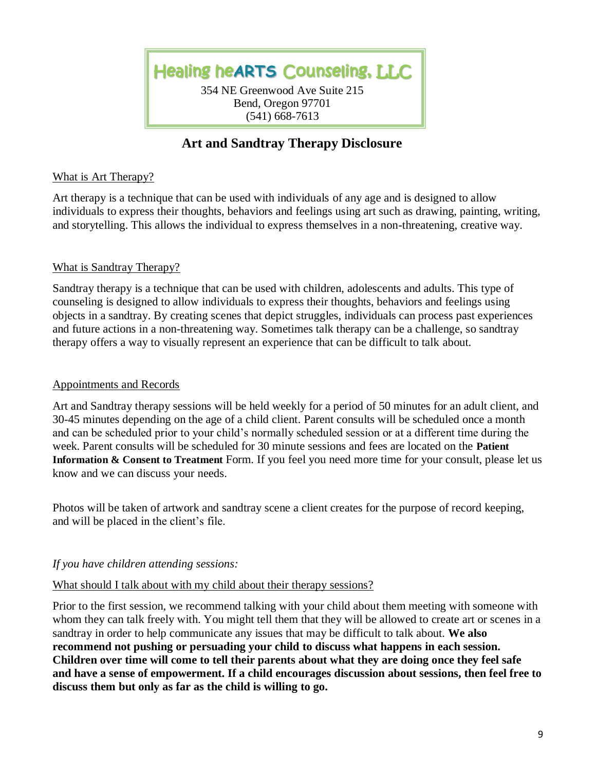Healing he**ARTS** Counseling, LLC 354 NE Greenwood Ave Suite 215 Bend, Oregon 97701 (541) 668-7613

j

# **Art and Sandtray Therapy Disclosure**

# What is Art Therapy?

Art therapy is a technique that can be used with individuals of any age and is designed to allow individuals to express their thoughts, behaviors and feelings using art such as drawing, painting, writing, and storytelling. This allows the individual to express themselves in a non-threatening, creative way.

# What is Sandtray Therapy?

Sandtray therapy is a technique that can be used with children, adolescents and adults. This type of counseling is designed to allow individuals to express their thoughts, behaviors and feelings using objects in a sandtray. By creating scenes that depict struggles, individuals can process past experiences and future actions in a non-threatening way. Sometimes talk therapy can be a challenge, so sandtray therapy offers a way to visually represent an experience that can be difficult to talk about.

## Appointments and Records

Art and Sandtray therapy sessions will be held weekly for a period of 50 minutes for an adult client, and 30-45 minutes depending on the age of a child client. Parent consults will be scheduled once a month and can be scheduled prior to your child's normally scheduled session or at a different time during the week. Parent consults will be scheduled for 30 minute sessions and fees are located on the **Patient Information & Consent to Treatment** Form. If you feel you need more time for your consult, please let us know and we can discuss your needs.

Photos will be taken of artwork and sandtray scene a client creates for the purpose of record keeping, and will be placed in the client's file.

# *If you have children attending sessions:*

# What should I talk about with my child about their therapy sessions?

Prior to the first session, we recommend talking with your child about them meeting with someone with whom they can talk freely with. You might tell them that they will be allowed to create art or scenes in a sandtray in order to help communicate any issues that may be difficult to talk about. **We also recommend not pushing or persuading your child to discuss what happens in each session. Children over time will come to tell their parents about what they are doing once they feel safe and have a sense of empowerment. If a child encourages discussion about sessions, then feel free to discuss them but only as far as the child is willing to go.**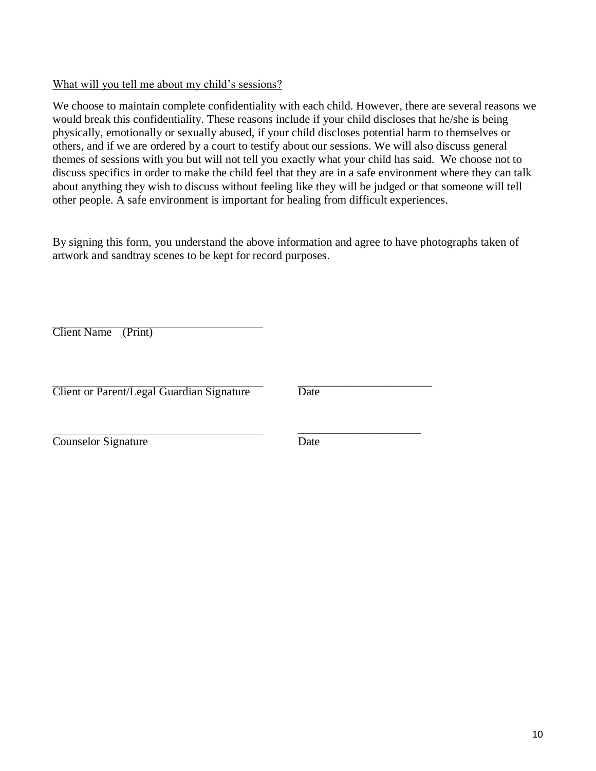# What will you tell me about my child's sessions?

We choose to maintain complete confidentiality with each child. However, there are several reasons we would break this confidentiality. These reasons include if your child discloses that he/she is being physically, emotionally or sexually abused, if your child discloses potential harm to themselves or others, and if we are ordered by a court to testify about our sessions. We will also discuss general themes of sessions with you but will not tell you exactly what your child has said. We choose not to discuss specifics in order to make the child feel that they are in a safe environment where they can talk about anything they wish to discuss without feeling like they will be judged or that someone will tell other people. A safe environment is important for healing from difficult experiences.

By signing this form, you understand the above information and agree to have photographs taken of artwork and sandtray scenes to be kept for record purposes.

Client Name (Print)

Client or Parent/Legal Guardian Signature Date

\_\_\_\_\_\_\_\_\_\_\_\_\_\_\_\_\_\_\_\_\_\_\_

\_\_\_\_\_\_\_\_\_\_\_\_\_\_\_\_\_\_\_\_\_\_\_

Counselor Signature Date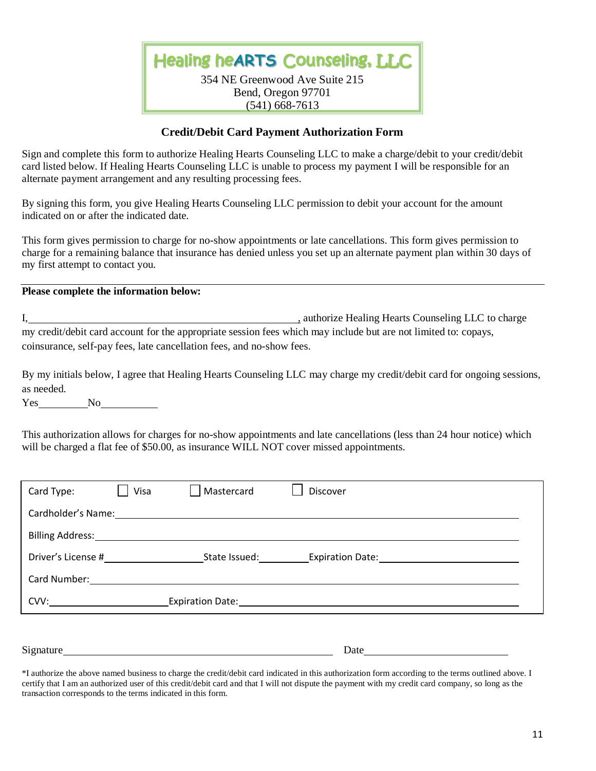Healing he**ARTS** Counseling, LLC 354 NE Greenwood Ave Suite 215 Bend, Oregon 97701

#### (541) 668-7613

## **Credit/Debit Card Payment Authorization Form**

Sign and complete this form to authorize Healing Hearts Counseling LLC to make a charge/debit to your credit/debit card listed below. If Healing Hearts Counseling LLC is unable to process my payment I will be responsible for an alternate payment arrangement and any resulting processing fees.

By signing this form, you give Healing Hearts Counseling LLC permission to debit your account for the amount indicated on or after the indicated date.

This form gives permission to charge for no-show appointments or late cancellations. This form gives permission to charge for a remaining balance that insurance has denied unless you set up an alternate payment plan within 30 days of my first attempt to contact you.

#### **Please complete the information below:**

I, authorize Healing Hearts Counseling LLC to charge my credit/debit card account for the appropriate session fees which may include but are not limited to: copays, coinsurance, self-pay fees, late cancellation fees, and no-show fees.

By my initials below, I agree that Healing Hearts Counseling LLC may charge my credit/debit card for ongoing sessions, as needed.

Yes No

This authorization allows for charges for no-show appointments and late cancellations (less than 24 hour notice) which will be charged a flat fee of \$50.00, as insurance WILL NOT cover missed appointments.

| Card Type:                                                                                                                                                                                                                                                                                                                                                                                                                                                                     | Visa | Mastercard | <b>Discover</b>                                                                                                 |  |  |  |
|--------------------------------------------------------------------------------------------------------------------------------------------------------------------------------------------------------------------------------------------------------------------------------------------------------------------------------------------------------------------------------------------------------------------------------------------------------------------------------|------|------------|-----------------------------------------------------------------------------------------------------------------|--|--|--|
| Cardholder's Name: The Cardholder's Name:                                                                                                                                                                                                                                                                                                                                                                                                                                      |      |            |                                                                                                                 |  |  |  |
| Billing Address: Management Communications                                                                                                                                                                                                                                                                                                                                                                                                                                     |      |            |                                                                                                                 |  |  |  |
| Driver's License #                                                                                                                                                                                                                                                                                                                                                                                                                                                             |      |            |                                                                                                                 |  |  |  |
| Card Number: The Card Number:                                                                                                                                                                                                                                                                                                                                                                                                                                                  |      |            |                                                                                                                 |  |  |  |
| $CVV: \begin{tabular}{@{}c@{}} \hline \multicolumn{3}{c}{} & \multicolumn{3}{c}{} & \multicolumn{3}{c}{} \multicolumn{3}{c}{} \multicolumn{3}{c}{} \multicolumn{3}{c}{} \multicolumn{3}{c}{} \multicolumn{3}{c}{} \multicolumn{3}{c}{} \multicolumn{3}{c}{} \multicolumn{3}{c}{} \multicolumn{3}{c}{} \multicolumn{3}{c}{} \multicolumn{3}{c}{} \multicolumn{3}{c}{} \multicolumn{3}{c}{} \multicolumn{3}{c}{} \multicolumn{3}{c}{} \multicolumn{3}{c}{} \multicolumn{3}{c}{}$ |      |            | Expiration Date: Management Contract Contract Contract Contract Contract Contract Contract Contract Contract Co |  |  |  |
|                                                                                                                                                                                                                                                                                                                                                                                                                                                                                |      |            |                                                                                                                 |  |  |  |

Signature Date

\*I authorize the above named business to charge the credit/debit card indicated in this authorization form according to the terms outlined above. I certify that I am an authorized user of this credit/debit card and that I will not dispute the payment with my credit card company, so long as the transaction corresponds to the terms indicated in this form.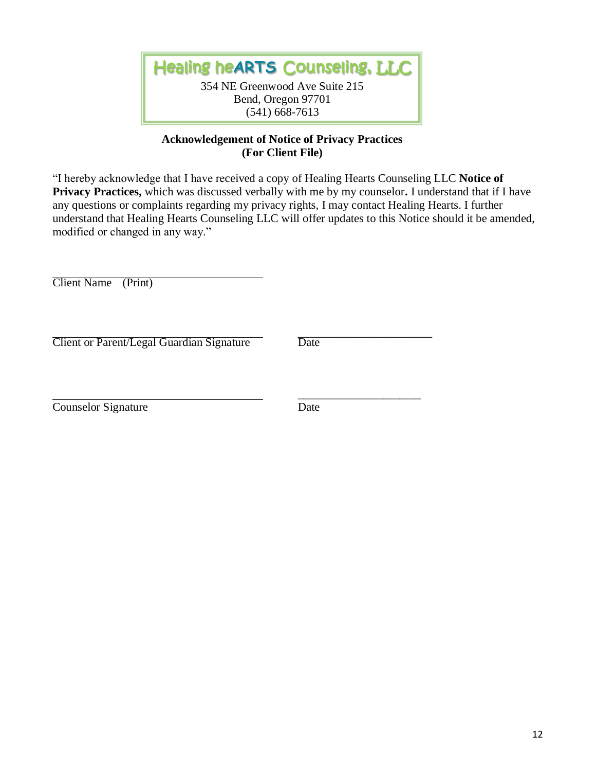Healing he**ARTS** Counseling, LLC 354 NE Greenwood Ave Suite 215 Bend, Oregon 97701 (541) 668-7613

# **Acknowledgement of Notice of Privacy Practices (For Client File)**

"I hereby acknowledge that I have received a copy of Healing Hearts Counseling LLC **Notice of Privacy Practices,** which was discussed verbally with me by my counselor**.** I understand that if I have any questions or complaints regarding my privacy rights, I may contact Healing Hearts. I further understand that Healing Hearts Counseling LLC will offer updates to this Notice should it be amended, modified or changed in any way."

Client Name (Print)

Client or Parent/Legal Guardian Signature Date

\_\_\_\_\_\_\_\_\_\_\_\_\_\_\_\_\_\_\_\_\_\_\_

Counselor Signature Date

\_\_\_\_\_\_\_\_\_\_\_\_\_\_\_\_\_\_\_\_\_\_\_